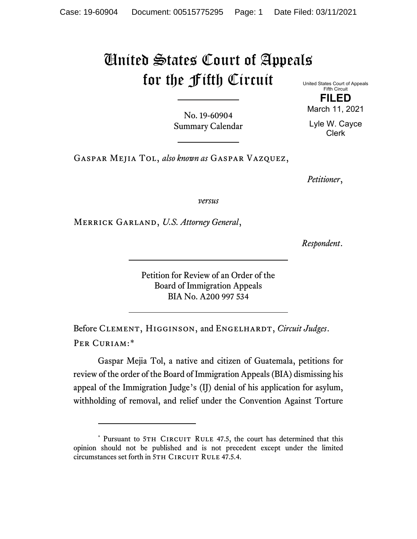## United States Court of Appeals for the Fifth Circuit

United States Court of Appeals Fifth Circuit **FILED**

No. 19-60904 Summary Calendar March 11, 2021

Lyle W. Cayce Clerk

Gaspar Mejia Tol, *also known as* Gaspar Vazquez,

*Petitioner*,

*versus*

Merrick Garland, *U.S. Attorney General*,

*Respondent*.

Petition for Review of an Order of the Board of Immigration Appeals BIA No. A200 997 534

Before Clement, Higginson, and Engelhardt, *Circuit Judges*. Per Curiam:[\\*](#page-0-0)

Gaspar Mejia Tol, a native and citizen of Guatemala, petitions for review of the order of the Board of Immigration Appeals (BIA) dismissing his appeal of the Immigration Judge's (IJ) denial of his application for asylum, withholding of removal, and relief under the Convention Against Torture

<span id="page-0-0"></span><sup>\*</sup> Pursuant to 5TH CIRCUIT RULE 47.5, the court has determined that this opinion should not be published and is not precedent except under the limited circumstances set forth in 5TH CIRCUIT RULE 47.5.4.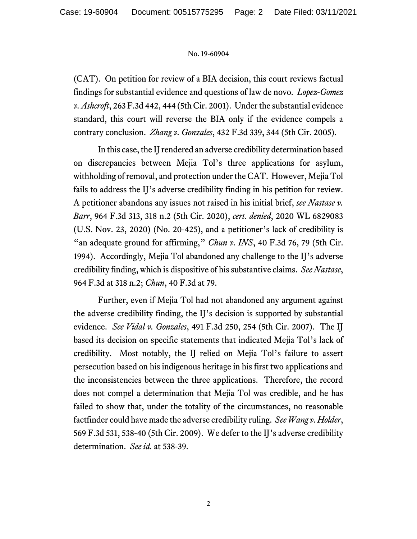## No. 19-60904

(CAT). On petition for review of a BIA decision, this court reviews factual findings for substantial evidence and questions of law de novo. *Lopez-Gomez v. Ashcroft*, 263 F.3d 442, 444 (5th Cir. 2001). Under the substantial evidence standard, this court will reverse the BIA only if the evidence compels a contrary conclusion. *Zhang v. Gonzales*, 432 F.3d 339, 344 (5th Cir. 2005).

In this case, the IJ rendered an adverse credibility determination based on discrepancies between Mejia Tol's three applications for asylum, withholding of removal, and protection under the CAT. However, Mejia Tol fails to address the IJ's adverse credibility finding in his petition for review. A petitioner abandons any issues not raised in his initial brief, *see Nastase v. Barr*, 964 F.3d 313, 318 n.2 (5th Cir. 2020), *cert. denied*, 2020 WL 6829083 (U.S. Nov. 23, 2020) (No. 20-425), and a petitioner's lack of credibility is "an adequate ground for affirming," *Chun v. INS*, 40 F.3d 76, 79 (5th Cir. 1994). Accordingly, Mejia Tol abandoned any challenge to the IJ's adverse credibility finding, which is dispositive of his substantive claims. *See Nastase*, 964 F.3d at 318 n.2; *Chun*, 40 F.3d at 79.

Further, even if Mejia Tol had not abandoned any argument against the adverse credibility finding, the IJ's decision is supported by substantial evidence. *See Vidal v. Gonzales*, 491 F.3d 250, 254 (5th Cir. 2007). The IJ based its decision on specific statements that indicated Mejia Tol's lack of credibility. Most notably, the IJ relied on Mejia Tol's failure to assert persecution based on his indigenous heritage in his first two applications and the inconsistencies between the three applications. Therefore, the record does not compel a determination that Mejia Tol was credible, and he has failed to show that, under the totality of the circumstances, no reasonable factfinder could have made the adverse credibility ruling. *See Wang v. Holder*, 569 F.3d 531, 538-40 (5th Cir. 2009). We defer to the IJ's adverse credibility determination. *See id.* at 538-39.